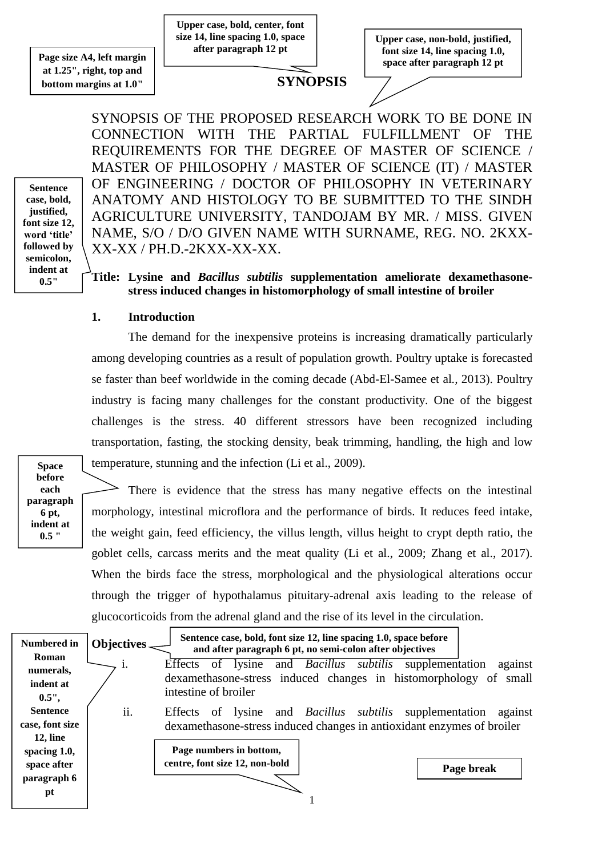**Page size A4, left margin at 1.25", right, top and bottom margins at 1.0"**

**Upper case, bold, center, font size 14, line spacing 1.0, space after paragraph 12 pt**

**Upper case, non-bold, justified, font size 14, line spacing 1.0, space after paragraph 12 pt**

# **SYNOPSIS**

SYNOPSIS OF THE PROPOSED RESEARCH WORK TO BE DONE IN CONNECTION WITH THE PARTIAL FULFILLMENT OF THE REQUIREMENTS FOR THE DEGREE OF MASTER OF SCIENCE / MASTER OF PHILOSOPHY / MASTER OF SCIENCE (IT) / MASTER OF ENGINEERING / DOCTOR OF PHILOSOPHY IN VETERINARY ANATOMY AND HISTOLOGY TO BE SUBMITTED TO THE SINDH AGRICULTURE UNIVERSITY, TANDOJAM BY MR. / MISS. GIVEN NAME, S/O / D/O GIVEN NAME WITH SURNAME, REG. NO. 2KXX-XX-XX / PH.D.-2KXX-XX-XX.

## **Title: Lysine and** *Bacillus subtilis* **supplementation ameliorate dexamethasonestress induced changes in histomorphology of small intestine of broiler**

#### **1. Introduction**

The demand for the inexpensive proteins is increasing dramatically particularly among developing countries as a result of population growth. Poultry uptake is forecasted se faster than beef worldwide in the coming decade (Abd-El-Samee et al*.,* 2013). Poultry industry is facing many challenges for the constant productivity. One of the biggest challenges is the stress. 40 different stressors have been recognized including transportation, fasting, the stocking density, beak trimming, handling, the high and low temperature, stunning and the infection (Li et al., 2009).

**Space before each paragraph 6 pt, indent at 0.5 "**

**Sentence case, bold, justified, font size 12, word 'title' followed by semicolon, indent at 0.5"**

> There is evidence that the stress has many negative effects on the intestinal morphology, intestinal microflora and the performance of birds. It reduces feed intake, the weight gain, feed efficiency, the villus length, villus height to crypt depth ratio, the goblet cells, carcass merits and the meat quality (Li et al., 2009; Zhang et al., 2017). When the birds face the stress, morphological and the physiological alterations occur through the trigger of hypothalamus pituitary-adrenal axis leading to the release of glucocorticoids from the adrenal gland and the rise of its level in the circulation.

| Numbered in<br>Roman<br>numerals,<br>indent at<br>$0.5"$ , | Objectives.                        | Sentence case, bold, font size 12, line spacing 1.0, space before<br>and after paragraph 6 pt, no semi-colon after objectives<br>lysine and <i>Bacillus subtilis</i> supplementation<br>Effects<br>0 <sup>t</sup><br>dexamethasone-stress induced changes in histomorphology of<br>intestine of broiler | against<br>small |
|------------------------------------------------------------|------------------------------------|---------------------------------------------------------------------------------------------------------------------------------------------------------------------------------------------------------------------------------------------------------------------------------------------------------|------------------|
| <b>Sentence</b><br>case, font size<br><b>12, line</b>      | $\cdot \cdot$<br>$\overline{11}$ . | of lysine and <i>Bacillus subtilis</i> supplementation<br>Effects<br>dexamethasone-stress induced changes in antioxidant enzymes of broiler                                                                                                                                                             | against          |
| spacing 1.0,<br>space after<br>paragraph 6<br>pt           |                                    | Page numbers in bottom,<br>centre, font size 12, non-bold                                                                                                                                                                                                                                               | Page break       |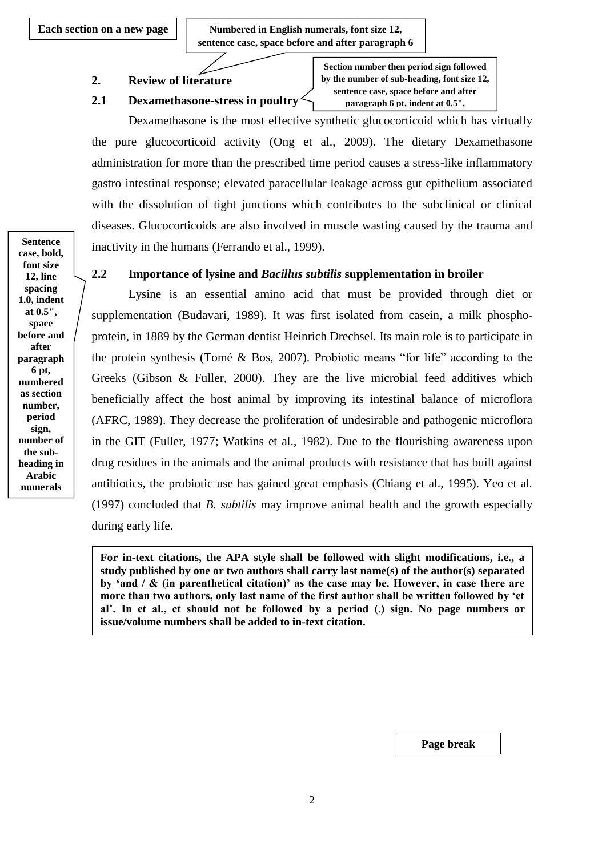**Each section on a new page**  $\vert$  **Numbered in English numerals, font size 12, sentence case, space before and after paragraph 6** 

**pt**

## **2. Review of literature**

### **2.1 Dexamethasone-stress in poultry**

**Section number then period sign followed by the number of sub-heading, font size 12, sentence case, space before and after paragraph 6 pt, indent at 0.5",**

Dexamethasone is the most effective synthetic glucocorticoid which has virtually the pure glucocorticoid activity (Ong et al., 2009). The dietary Dexamethasone administration for more than the prescribed time period causes a stress-like inflammatory gastro intestinal response; elevated paracellular leakage across gut epithelium associated with the dissolution of tight junctions which contributes to the subclinical or clinical diseases. Glucocorticoids are also involved in muscle wasting caused by the trauma and inactivity in the humans (Ferrando et al., 1999).

#### **2.2 Importance of lysine and** *Bacillus subtilis* **supplementation in broiler**

Lysine is an essential amino acid that must be provided through diet or supplementation (Budavari, 1989). It was first isolated from casein, a milk phosphoprotein, in 1889 by the German dentist Heinrich Drechsel. Its main role is to participate in the protein synthesis (Tomé & Bos, 2007). Probiotic means "for life" according to the Greeks (Gibson & Fuller, 2000). They are the live microbial feed additives which beneficially affect the host animal by improving its intestinal balance of microflora (AFRC, 1989). They decrease the proliferation of undesirable and pathogenic microflora in the GIT (Fuller, 1977; Watkins et al., 1982). Due to the flourishing awareness upon drug residues in the animals and the animal products with resistance that has built against antibiotics, the probiotic use has gained great emphasis (Chiang et al., 1995). Yeo et al*.*  (1997) concluded that *B. subtilis* may improve animal health and the growth especially during early life.

**For in-text citations, the APA style shall be followed with slight modifications, i.e., a study published by one or two authors shall carry last name(s) of the author(s) separated by 'and / & (in parenthetical citation)' as the case may be. However, in case there are more than two authors, only last name of the first author shall be written followed by 'et al'. In et al., et should not be followed by a period (.) sign. No page numbers or issue/volume numbers shall be added to in-text citation.**

**Sentence case, bold, font size 12, line spacing 1.0, indent at 0.5", space before and after paragraph 6 pt, numbered as section number, period sign, number of the subheading in Arabic numerals**

**Page break**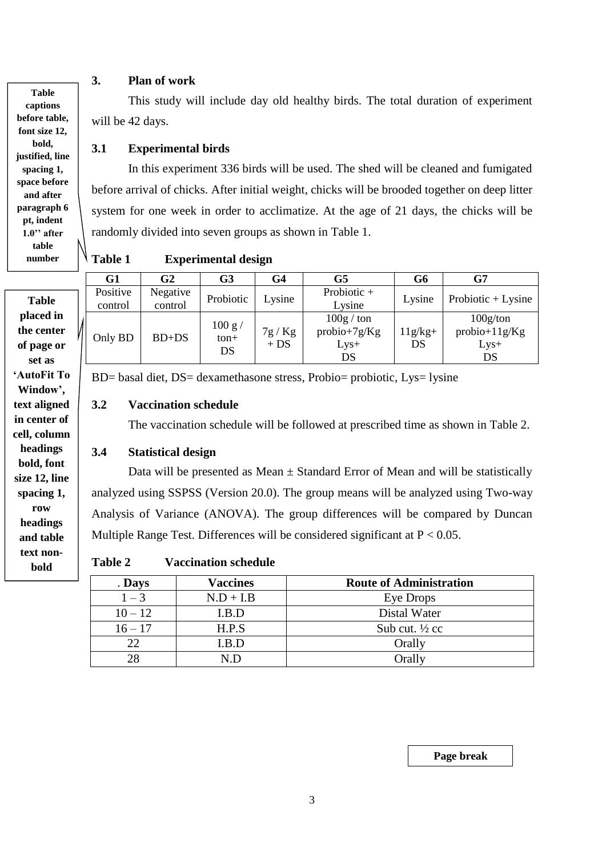### **3. Plan of work**

This study will include day old healthy birds. The total duration of experiment will be 42 days.

### **3.1 Experimental birds**

In this experiment 336 birds will be used. The shed will be cleaned and fumigated before arrival of chicks. After initial weight, chicks will be brooded together on deep litter system for one week in order to acclimatize. At the age of 21 days, the chicks will be randomly divided into seven groups as shown in Table 1.

**Table 1 Experimental design**

|                         | G1                  | G2                  | G3               | G4           | G5                                    | G6        | G7                          |
|-------------------------|---------------------|---------------------|------------------|--------------|---------------------------------------|-----------|-----------------------------|
| <b>Table</b>            | Positive<br>control | Negative<br>control | Probiotic        | $\sim$ ysine | Probiotic +<br>Lysine                 | Lysine    | Probiotic $+$ Lysine        |
| placed in<br>the center | Only BD             | $BD+DS$             | 100 g/<br>$ton+$ | 7g/Kg        | $100g / \text{ton}$<br>$probio+7g/Kg$ | $11g/kg+$ | 100g/ton<br>$probio+11g/Kg$ |
| of page or<br>set as    |                     |                     | DS               | $+ DS$       | $Lys+$<br>DS                          | DS        | $Lys+$<br>DS                |

BD= basal diet, DS= dexamethasone stress, Probio= probiotic, Lys= lysine

#### **3.2 Vaccination schedule**

The vaccination schedule will be followed at prescribed time as shown in Table 2.

### **3.4 Statistical design**

Data will be presented as Mean  $\pm$  Standard Error of Mean and will be statistically analyzed using SSPSS (Version 20.0). The group means will be analyzed using Two-way Analysis of Variance (ANOVA). The group differences will be compared by Duncan Multiple Range Test. Differences will be considered significant at  $P < 0.05$ .

**Table 2 Vaccination schedule**

| . Days    | <b>Vaccines</b> | <b>Route of Administration</b> |
|-----------|-----------------|--------------------------------|
| $1 - 3$   | $N.D + I.B$     | Eye Drops                      |
| $10 - 12$ | I.B.D           | Distal Water                   |
| $16 - 17$ | H.P.S           | Sub cut. $\frac{1}{2}$ cc      |
| 22        | I.B.D           | Orally                         |
|           | N.D             | Orally                         |

**Table captions before table, font size 12, bold, justified, line spacing 1, space before and after paragraph 6 pt, indent 1.0'' after table number**

**set as 'AutoFit To Window', text aligned in center of cell, column headings bold, font size 12, line spacing 1, row headings and table text nonbold**

**Page break**